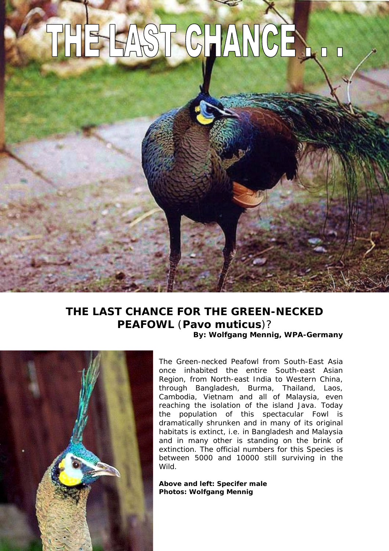## THE EAST CHANCE

## **THE LAST CHANCE FOR THE GREEN-NECKED PEAFOWL** (*Pavo muticus*)? **By: Wolfgang Mennig, WPA-Germany**



The Green-necked Peafowl from South-East Asia once inhabited the entire South-east Asian Region, from North-east India to Western China, through Bangladesh, Burma, Thailand, Laos, Cambodia, Vietnam and all of Malaysia, even reaching the isolation of the island Java. Today the population of this spectacular Fowl is dramatically shrunken and in many of its original habitats is extinct, i.e. in Bangladesh and Malaysia and in many other is standing on the brink of extinction. The official numbers for this Species is between 5000 and 10000 still surviving in the Wild.

**Above and left: Specifer male Photos: Wolfgang Mennig**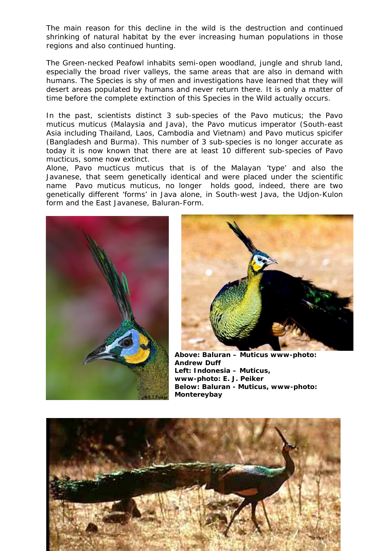The main reason for this decline in the wild is the destruction and continued shrinking of natural habitat by the ever increasing human populations in those regions and also continued hunting.

The Green-necked Peafowl inhabits semi-open woodland, jungle and shrub land, especially the broad river valleys, the same areas that are also in demand with humans. The Species is shy of men and investigations have learned that they will desert areas populated by humans and never return there. It is only a matter of time before the complete extinction of this Species in the Wild actually occurs.

In the past, scientists distinct 3 sub-species of the Pavo muticus; the *Pavo muticus muticus* (Malaysia and Java), the *Pavo muticus imperator* (South-east Asia including Thailand, Laos, Cambodia and Vietnam) and *Pavo muticus spicifer* (Bangladesh and Burma). This number of 3 sub-species is no longer accurate as today it is now known that there are at least 10 different sub-species of *Pavo mucticus*, some now extinct.

Alone, *Pavo mucticus muticus* that is of the Malayan 'type' and also the Javanese, that seem genetically identical and were placed under the scientific name *Pavo muticus muticus*, no longer holds good, indeed, there are two genetically different 'forms' in Java alone, in South-west Java, the Udjon-Kulon form and the East Javanese, Baluran-Form.





**bove: Baluran – Muticus www-photo: A a – Muticus, Left: Indonesi www-photo: Below: Baluran - Muticus, Andrew Duff www-photo: E. J. Peiker Montereybay**

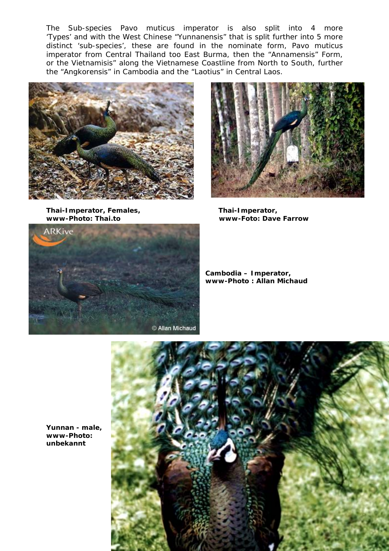The Sub-species *Pavo muticus imperator* is also split into 4 more 'Types' and with the West Chinese "Yunnanensis" that is split further into 5 more distinct 'sub-species', these are found in the nominate form, *Pavo muticus imperator* from Central Thailand too East Burma, then the "Annamensis" Form, or the Vietnamisis" along the Vietnamese Coastline from North to South, further the "Angkorensis" in Cambodia and the "Laotius" in Central Laos.



**Thai-Imperator, Females, www-Photo: Thai.to www-Foto: Dave**



www-Foto: Dave Farrow  **Thai-Imperator,**



**ambodia – Imperator, C ww-Photo : Allan Michaud w**



Yunnan - male, **www-Photo: unbekannt**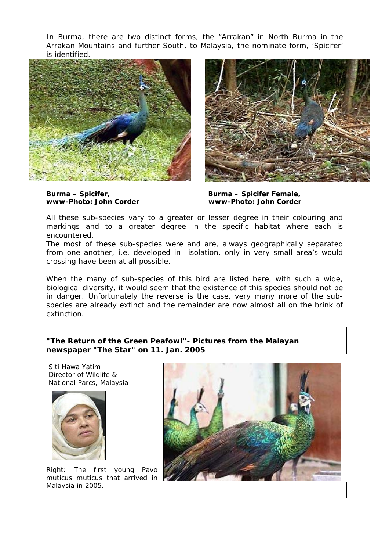In Burma, there are two distinct forms, the "Arrakan" in North Burma in the Arrakan Mountains and further South, to Malaysia, the nominate form, 'Spicifer' is identified.





**www-Photo:**

**John Corder www-Photo: John Corder Burma – Spicifer, Burma – Spicifer Female,** 

All these sub-species vary to a greater or lesser degree in their colouring and encountered. markings and to a greater degree in the specific habitat where each is

crossing have been at all possible. The most of these sub-species were and are, always geographically separated from one another, i.e. developed in isolation, only in very small area's would

biological diversity, it would seem that the existence of this species should not be in danger. Unfortunately the reverse is the case, very many more of the sub-When the many of sub-species of this bird are listed here, with such a wide, species are already extinct and the remainder are now almost all on the brink of extinction.

## **"The Return of the Green Peafowl"- Pictures from the Malayan newspaper "The Star" on 11. Jan. 2005**

 Siti Hawa Yatim Director of Wildlife & National Parcs, Malaysia



Right: The first young *Pavo muticus muticus* that arrived in Malaysia in 2005.

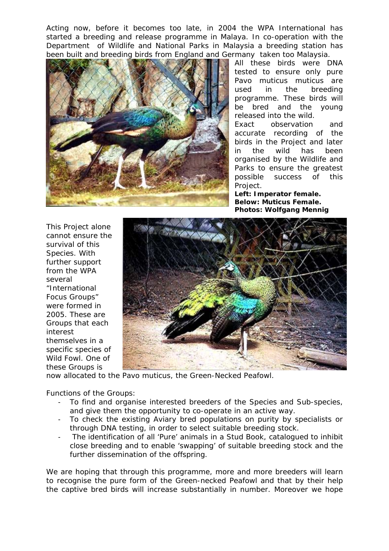Acting now, before it becomes too late, in 2004 the WPA International has started a breeding and release programme in Malaya. In co-operation with the Department of Wildlife and National Parks in Malaysia a breeding station has been built and breeding birds from England and Germany taken too Malaysia.



breeding All these birds were DNA tested to ensure only pure *Pavo muticus muticus* are used in the programme. These birds will be bred and the young released into the wild.

been Exact observation and accurate recording of the birds in the Project and later in the wild has organised by the Wildlife and Parks to ensure the greatest possible success of this Project.

**Left: Imperator female. Below: Muticus Female. Photos: Wolfgang Mennig** 

survival of this were formed in 2005. These are Wild Fowl. One of This Project alone cannot ensure the Species. With further support from the WPA several "International Focus Groups" Groups that each interest themselves in a specific species of these Groups is



now allocated to the Pavo muticus, the Green-Necked Peafowl.

Functions of the Groups:

- To find and organise interested breeders of the Species and Sub-species, and give them the opportunity to co-operate in an active way.
- To check the existing Aviary bred populations on purity by specialists or through DNA testing, in order to select suitable breeding stock.
- The identification of all 'Pure' animals in a Stud Book, catalogued to inhibit close breeding and to enable 'swapping' of suitable breeding stock and the further dissemination of the offspring.

We ar e hoping that through this programme, more and more breeders will learn to recognise the pure form of the Green-necked Peafowl and that by their help the captive bred birds will increase substantially in number. Moreover we hope